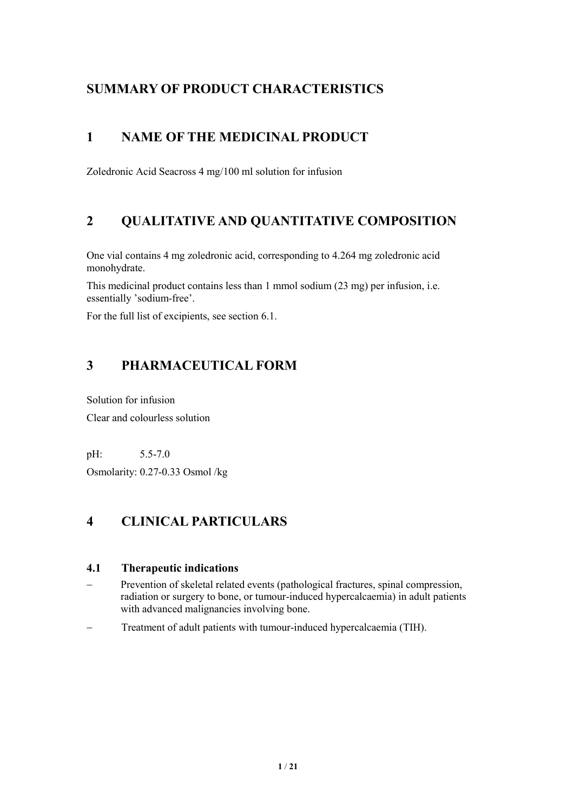# **SUMMARY OF PRODUCT CHARACTERISTICS**

# **1 NAME OF THE MEDICINAL PRODUCT**

Zoledronic Acid Seacross 4 mg/100 ml solution for infusion

# **2 QUALITATIVE AND QUANTITATIVE COMPOSITION**

One vial contains 4 mg zoledronic acid, corresponding to 4.264 mg zoledronic acid monohydrate.

This medicinal product contains less than 1 mmol sodium (23 mg) per infusion, i.e. essentially 'sodium-free'.

For the full list of excipients, see section 6.1.

# **3 PHARMACEUTICAL FORM**

Solution for infusion Clear and colourless solution

pH: 5.5-7.0

Osmolarity: 0.27-0.33 Osmol /kg

# **4 CLINICAL PARTICULARS**

# **4.1 Therapeutic indications**

- Prevention of skeletal related events (pathological fractures, spinal compression, radiation or surgery to bone, or tumour-induced hypercalcaemia) in adult patients with advanced malignancies involving bone.
- Treatment of adult patients with tumour-induced hypercalcaemia (TIH).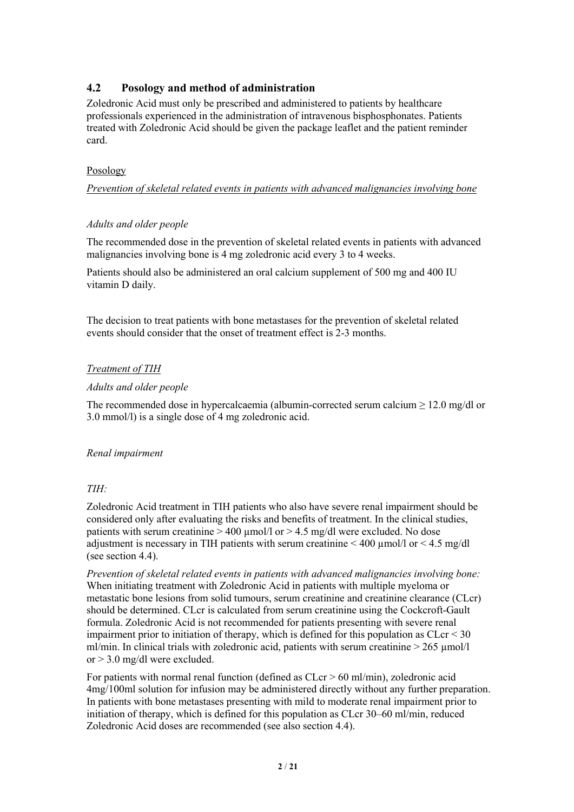## **4.2 Posology and method of administration**

Zoledronic Acid must only be prescribed and administered to patients by healthcare professionals experienced in the administration of intravenous bisphosphonates. Patients treated with Zoledronic Acid should be given the package leaflet and the patient reminder card.

#### Posology

*Prevention of skeletal related events in patients with advanced malignancies involving bone*

#### *Adults and older people*

The recommended dose in the prevention of skeletal related events in patients with advanced malignancies involving bone is 4 mg zoledronic acid every 3 to 4 weeks.<br>Patients should also be administered an oral calcium supplement of 500 mg and 400 IU

vitamin D daily.

The decision to treat patients with bone metastases for the prevention of skeletal related events should consider that the onset of treatment effect is 2-3 months.

### *Treatment of TIH*

#### *Adults and older people*

The recommended dose in hypercalcaemia (albumin-corrected serum calcium  $\geq 12.0$  mg/dl or 3.0 mmol/l) is a single dose of 4 mg zoledronic acid.

#### *Renal impairment*

### *TIH:*

Zoledronic Acid treatment in TIH patients who also have severe renal impairment should be considered only after evaluating the risks and benefits of treatment. In the clinical studies, patients with serum creatinine  $> 400 \mu$ mol/l or  $> 4.5 \mu$ g/dl were excluded. No dose adjustment is necessary in TIH patients with serum creatinine  $\leq 400 \mu$  mol/l or  $\leq 4.5 \text{ mg/dl}$ (see section 4.4).

*Prevention of skeletal related events in patients with advanced malignancies involving bone:* When initiating treatment with Zoledronic Acid in patients with multiple myeloma or metastatic bone lesions from solid tumours, serum creatinine and creatinine clearance (CLcr) should be determined. CLcr is calculated from serum creatinine using the Cockcroft-Gault formula. Zoledronic Acid is not recommended for patients presenting with severe renal impairment prior to initiation of therapy, which is defined for this population as  $CLcr < 30$ ml/min. In clinical trials with zoledronic acid, patients with serum creatinine  $> 265 \mu$ mol/l or > 3.0 mg/dl were excluded.

For patients with normal renal function (defined as CLcr > 60 ml/min), zoledronic acid 4mg/100ml solution for infusion may be administered directly without any further preparation. In patients with bone metastases presenting with mild to moderate renal impairment prior to initiation of therapy, which is defined for this population as CLcr 30–60 ml/min, reduced Zoledronic Acid doses are recommended (see also section 4.4).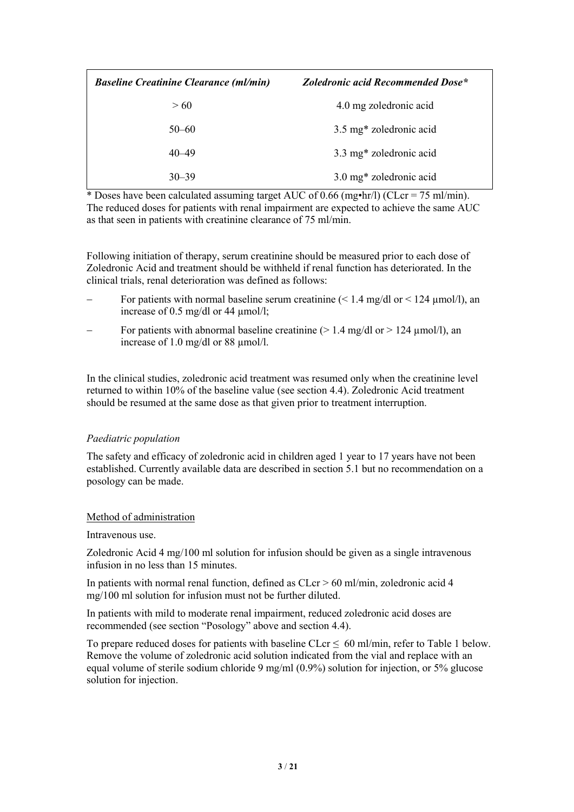| <b>Baseline Creatinine Clearance (ml/min)</b> | Zoledronic acid Recommended Dose* |
|-----------------------------------------------|-----------------------------------|
| >60                                           | 4.0 mg zoledronic acid            |
| $50 - 60$                                     | 3.5 mg* zoledronic acid           |
| $40 - 49$                                     | 3.3 mg* zoledronic acid           |
| $30 - 39$                                     | 3.0 mg* zoledronic acid           |

\* Doses have been calculated assuming target AUC of 0.66 (mg•hr/l) (CLcr = 75 ml/min). The reduced doses for patients with renal impairment are expected to achieve the same AUC as that seen in patients with creatinine clearance of 75 ml/min.

Following initiation of therapy, serum creatinine should be measured prior to each dose of Zoledronic Acid and treatment should be withheld if renal function has deteriorated. In the clinical trials, renal deterioration was defined as follows:

- For patients with normal baseline serum creatinine  $(< 1.4$  mg/dl or  $< 124$  µmol/l), an increase of 0.5 mg/dl or 44 µmol/l;
- For patients with abnormal baseline creatinine ( $> 1.4$  mg/dl or  $> 124$  umol/l), an increase of 1.0 mg/dl or 88 µmol/l.

In the clinical studies, zoledronic acid treatment was resumed only when the creatinine level returned to within 10% of the baseline value (see section 4.4). Zoledronic Acid treatment should be resumed at the same dose asthat given prior to treatment interruption.

#### *Paediatric population*

The safety and efficacy of zoledronic acid in children aged 1 year to 17 years have not been established. Currently available data are described in section 5.1 but no recommendation on a posology can be made.

#### Method of administration

#### Intravenous use.

Zoledronic Acid 4 mg/100 ml solution for infusion should be given as a single intravenous infusion in no less than 15 minutes.

In patients with normal renal function, defined as CLcr > 60 ml/min, zoledronic acid 4 mg/100 ml solution for infusion must not be further diluted.

In patients with mild to moderate renal impairment, reduced zoledronic acid doses are recommended (see section "Posology" above and section 4.4).

To prepare reduced doses for patients with baseline CLcr  $\leq 60$  ml/min, refer to Table 1 below.<br>Remove the volume of zoledronic acid solution indicated from the vial and replace with an equal volume of sterile sodium chloride 9 mg/ml (0.9%) solution for injection, or 5% glucose solution for injection.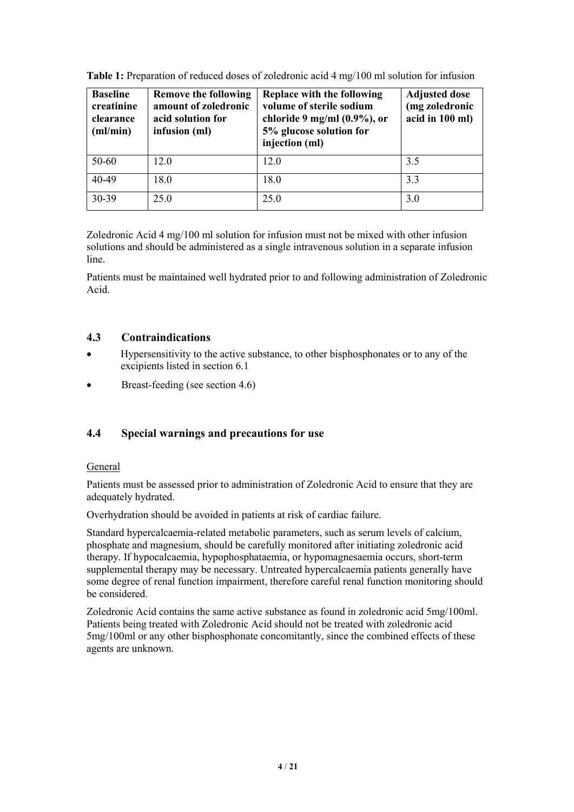| <b>Baseline</b><br>creatinine<br>clearance<br>$m/m$ in) | <b>Remove the following</b><br>amount of zoledronic<br>acid solution for<br>infusion (ml) | Replace with the following<br>volume of sterile sodium<br>chloride 9 mg/ml $(0.9\%)$ , or<br>5% glucose solution for<br>injection (ml) | <b>Adjusted dose</b><br>(mg zoledronic<br>acid in 100 ml) |
|---------------------------------------------------------|-------------------------------------------------------------------------------------------|----------------------------------------------------------------------------------------------------------------------------------------|-----------------------------------------------------------|
| 50-60                                                   | 12.0                                                                                      | 12.0                                                                                                                                   | 3.5                                                       |
| 40-49                                                   | 18.0                                                                                      | 18.0                                                                                                                                   | 3.3                                                       |
| 30-39                                                   | 25.0                                                                                      | 25.0                                                                                                                                   | 3.0                                                       |

**Table 1:** Preparation of reduced doses of zoledronic acid 4 mg/100 ml solution for infusion

Zoledronic Acid 4 mg/100 ml solution for infusion must not be mixed with other infusion solutions and should be administered as a single intravenous solution in a separate infusion line.

Patients must be maintained well hydrated prior to and following administration of Zoledronic Acid.

## **4.3 Contraindications**

- Hypersensitivity to the active substance, to other bisphosphonates or to any of the excipients listed in section 6.1
- Breast-feeding (see section 4.6)

### **4.4 Special warnings and precautions for use**

#### General

Patients must be assessed prior to administration of Zoledronic Acid to ensure that they are adequately hydrated.

Overhydration should be avoided in patients at risk of cardiac failure.

Standard hypercalcaemia-related metabolic parameters, such as serum levels of calcium, phosphate and magnesium, should be carefully monitored after initiating zoledronic acid therapy. If hypocalcaemia, hypophosphataemia, or hypomagnesaemia occurs, short-term supplemental therapy may be necessary. Untreated hypercalcaemia patients generally have some degree of renal function impairment, therefore careful renal function monitoring should be considered.

Zoledronic Acid contains the same active substance as found in zoledronic acid 5mg/100ml. Patients being treated with Zoledronic Acid should not be treated with zoledronic acid  $5mg/100m$  or any other bisphosphonate concomitantly, since the combined effects of these agents are unknown.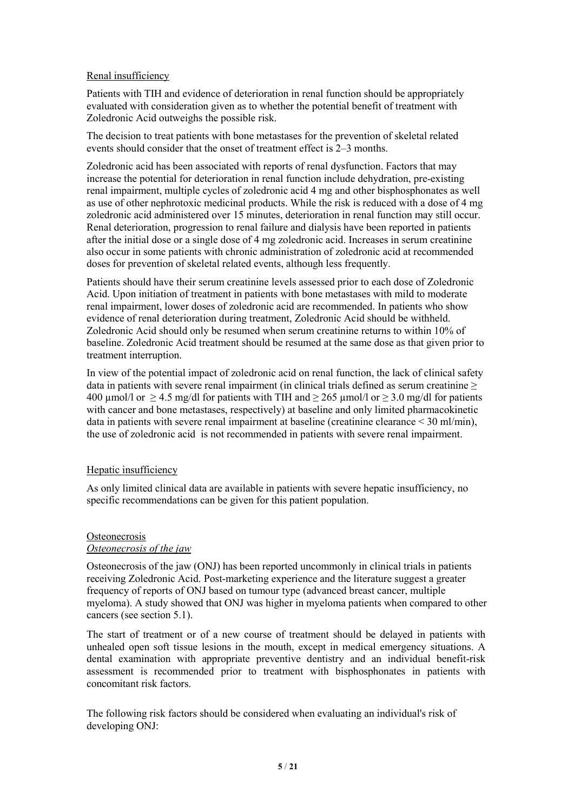#### Renal insufficiency

Patients with TIH and evidence of deterioration in renal function should be appropriately evaluated with consideration given as to whether the potential benefit of treatment with Zoledronic Acid outweighs the possible risk.

The decision to treat patients with bone metastases for the prevention of skeletal related events should consider that the onset of treatment effect is 2–3 months.

Zoledronic acid has been associated with reports ofrenal dysfunction. Factors that may increase the potential for deterioration in renal function include dehydration, pre-existing renal impairment, multiple cycles of zoledronic acid 4 mg and other bisphosphonates as well as use of other nephrotoxic medicinal products. While the risk is reduced with a dose of 4 mg zoledronic acid administered over 15 minutes, deterioration in renal function may still occur. Renal deterioration, progression to renal failure and dialysis have been reported in patients after the initial dose or a single dose of 4 mg zoledronic acid. Increases in serum creatinine also occur in some patients with chronic administration of zoledronic acid at recommended doses for prevention of skeletal related events, although less frequently.

Patients should have their serum creatinine levels assessed prior to each dose of Zoledronic Acid. Upon initiation of treatment in patients with bone metastases with mild to moderate renal impairment, lower doses of zoledronic acid are recommended. In patients who show evidence of renal deterioration during treatment, Zoledronic Acid should be withheld. Zoledronic Acid should only be resumed when serum creatinine returns to within 10% of baseline. Zoledronic Acid treatment should be resumed at the same dose as that given prior to treatment interruption.

In view of the potential impact of zoledronic acid on renal function, the lack of clinical safety data in patients with severe renal impairment (in clinical trials defined as serum creatinine  $\geq$ 400  $\mu$ mol/l or  $\geq$  4.5 mg/dl for patients with TIH and  $\geq$  265  $\mu$ mol/l or  $\geq$  3.0 mg/dl for patients with cancer and bone metastases, respectively) at baseline and only limited pharmacokinetic data in patients with severe renal impairment at baseline (creatinine clearance  $\leq 30$  ml/min), the use of zoledronic acid is not recommended in patients with severe renal impairment.

#### Hepatic insufficiency

As only limited clinical data are available in patients with severe hepatic insufficiency, no specific recommendations can be given for this patient population.

#### **Osteonecrosis** *Osteonecrosis of the jaw*

Osteonecrosis ofthe jaw (ONJ) has been reported uncommonly in clinical trials in patients receiving Zoledronic Acid. Post-marketing experience and the literature suggesta greater frequency of reports of ONJ based on tumour type (advanced breast cancer, multiple myeloma). A study showed that ONJ was higher in myeloma patients when compared to other cancers (see section 5.1).

The start of treatment or of a new course of treatment should be delayed in patients with unhealed open soft tissue lesions in the mouth, except in medical emergency situations. A dental examination with appropriate preventive dentistry and an individual benefit-risk assessment is recommended prior to treatment with bisphosphonates in patients with concomitant risk factors.

The following risk factors should be considered when evaluating an individual's risk of developing ONJ: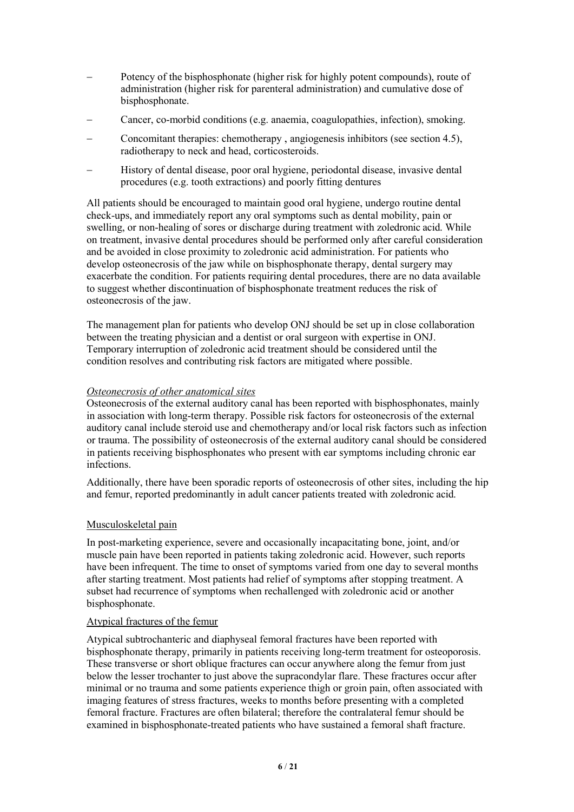- Potency of the bisphosphonate (higher risk for highly potent compounds), route of administration (higher risk for parenteral administration) and cumulative dose of bisphosphonate.
- Cancer, co-morbid conditions (e.g. anaemia, coagulopathies, infection), smoking.
- Concomitant therapies: chemotherapy , angiogenesis inhibitors (see section 4.5), radiotherapy to neck and head, corticosteroids.
- History of dental disease, poor oral hygiene, periodontal disease, invasive dental procedures (e.g. tooth extractions) and poorly fitting dentures

All patients should be encouraged to maintain good oral hygiene, undergo routine dental check-ups, and immediately report any oral symptoms such as dental mobility, pain or swelling, or non-healing of sores or discharge during treatment with zoledronic acid. While on treatment, invasive dental procedures should be performed only after careful consideration and be avoided in close proximity to zoledronic acid administration. For patients who develop osteonecrosis of the jaw while on bisphosphonate therapy, dental surgery may exacerbate the condition. For patients requiring dental procedures, there are no data available to suggest whether discontinuation of bisphosphonate treatment reduces the risk of osteonecrosis of the jaw.

The management plan for patients who develop ONJ should be set up in close collaboration between the treating physician and a dentist or oral surgeon with expertise in ONJ. Temporary interruption of zoledronic acid treatment should be considered until the condition resolves and contributing risk factors are mitigated where possible.

#### *Osteonecrosis of other anatomical sites*

Osteonecrosis ofthe external auditory canal has been reported with bisphosphonates, mainly in association with long-term therapy. Possible risk factors for osteonecrosis of the external auditory canal include steroid use and chemotherapy and/or local risk factors such as infection or trauma. The possibility of osteonecrosis ofthe external auditory canal should be considered in patients receiving bisphosphonates who present with ear symptoms including chronic ear infections.

Additionally, there have been sporadic reports of osteonecrosis of other sites, including the hip and femur, reported predominantly in adult cancer patients treated with zoledronic acid.

#### Musculoskeletal pain

In post-marketing experience, severe and occasionally incapacitating bone, joint, and/or muscle pain have been reported in patients taking zoledronic acid. However, such reports have been infrequent. The time to onset of symptoms varied from one day to several months after starting treatment. Most patients had relief of symptoms after stopping treatment. A subset had recurrence of symptoms when rechallenged with zoledronic acid or another bisphosphonate.

#### Atypical fractures of the femur

Atypical subtrochanteric and diaphyseal femoral fractures have been reported with bisphosphonate therapy, primarily in patients receiving long-term treatment for osteoporosis. These transverse or short oblique fractures can occur anywhere along the femur from just below the lesser trochanter to just above the supracondylar flare. These fractures occur after minimal or no trauma and some patients experience thigh or groin pain, often associated with imaging features of stress fractures, weeks to months before presenting with a completed femoral fracture. Fractures are often bilateral; therefore the contralateral femur should be examined in bisphosphonate-treated patients who have sustained a femoral shaft fracture.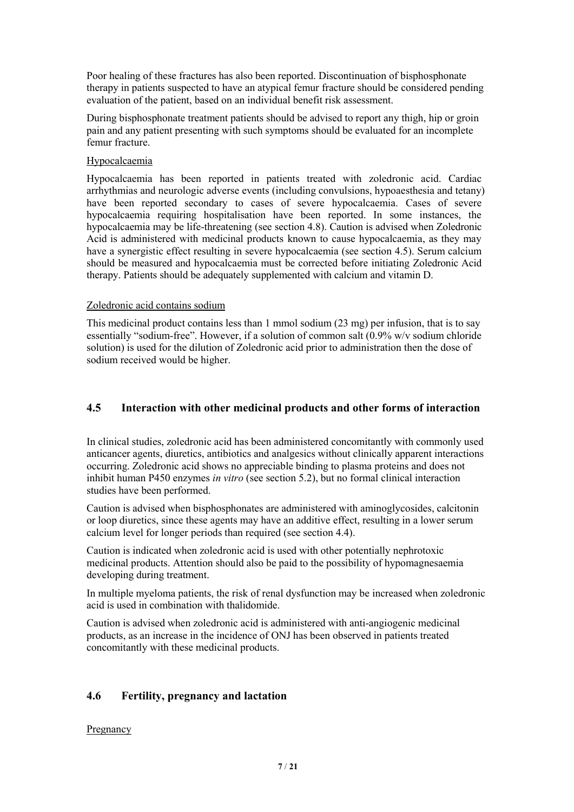Poor healing of these fractures has also been reported. Discontinuation of bisphosphonate therapy in patients suspected to have an atypical femur fracture should be considered pending evaluation of the patient, based on an individual benefit risk assessment.

During bisphosphonate treatment patients should be advised to report any thigh, hip or groin pain and any patient presenting with such symptoms should be evaluated for an incomplete femur fracture.

#### Hypocalcaemia

Hypocalcaemia has been reported in patients treated with zoledronic acid. Cardiac arrhythmias and neurologic adverse events (including convulsions, hypoaesthesia and tetany) have been reported secondary to cases of severe hypocalcaemia. Cases of severe hypocalcaemia requiring hospitalisation have been reported. In some instances, the hypocalcaemia may be life-threatening (see section 4.8). Caution is advised when Zoledronic Acid is administered with medicinal products known to cause hypocalcaemia, as they may have a synergistic effect resulting in severe hypocalcaemia (see section 4.5). Serum calcium should be measured and hypocalcaemia must be corrected before initiating Zoledronic Acid therapy. Patients should be adequately supplemented with calcium and vitamin D.

#### Zoledronic acid contains sodium

This medicinal product contains less than 1 mmol sodium (23 mg) per infusion, that is to say essentially "sodium-free". However, if a solution of common salt (0.9% w/v sodium chloride solution) is used for the dilution of Zoledronic acid prior to administration then the dose of sodium received would be higher.

## **4.5 Interaction with other medicinal products and other forms ofinteraction**

In clinical studies, zoledronic acid has been administered concomitantly with commonly used anticancer agents, diuretics, antibiotics and analgesics without clinically apparent interactions occurring. Zoledronic acid shows no appreciable binding to plasma proteins and does not inhibit human P450 enzymes *in vitro* (see section 5.2), but no formal clinical interaction studies have been performed.

Caution is advised when bisphosphonates are administered with aminoglycosides, calcitonin or loop diuretics, since these agents may have an additive effect, resulting in a lower serum calcium level for longer periods than required (see section 4.4).

Caution is indicated when zoledronic acid is used with other potentially nephrotoxic medicinal products. Attention should also be paid to the possibility of hypomagnesaemia developing during treatment.

In multiple myeloma patients, the risk of renal dysfunction may be increased when zoledronic acid is used in combination with thalidomide.

Caution is advised when zoledronic acid is administered with anti-angiogenic medicinal products, as an increase in the incidence of ONJ has been observed in patients treated concomitantly with these medicinal products.

### **4.6 Fertility, pregnancy and lactation**

#### **Pregnancy**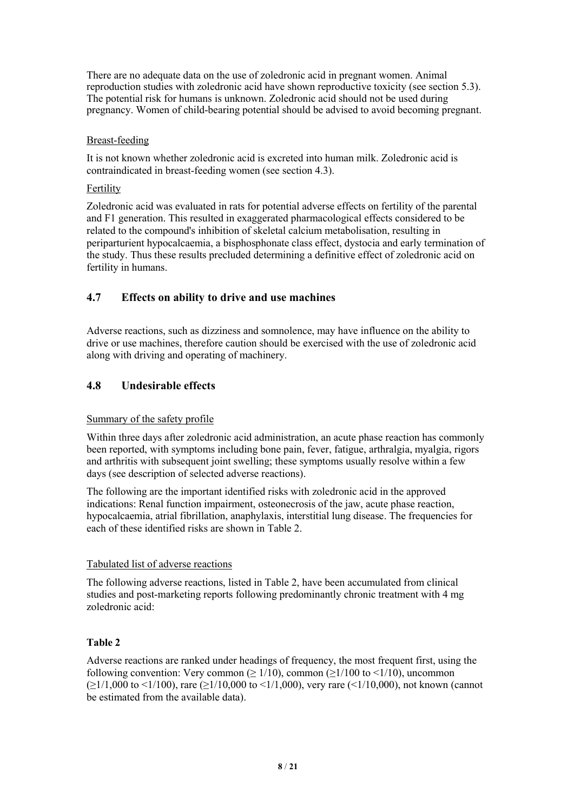There are no adequate data on the use of zoledronic acid in pregnant women. Animal reproduction studies with zoledronic acid have shown reproductive toxicity (see section 5.3). The potential risk for humans is unknown. Zoledronic acid should not be used during pregnancy. Women of child-bearing potential should be advised to avoid becoming pregnant.

#### Breast-feeding

It is not known whether zoledronic acid is excreted into human milk. Zoledronic acid is contraindicated in breast-feeding women (see section 4.3).

#### Fertility

Zoledronic acid was evaluated in rats for potential adverse effects on fertility of the parental and F1 generation.This resulted in exaggerated pharmacological effects considered to be related to the compound's inhibition of skeletal calcium metabolisation, resulting in periparturient hypocalcaemia, a bisphosphonate class effect, dystocia and early termination of the study. Thus these results precluded determining a definitive effect of zoledronic acid on fertility in humans.

## **4.7 Effects on ability to drive and use machines**

Adverse reactions, such as dizziness and somnolence, may have influence on the ability to drive or use machines, therefore caution should be exercised with the use of zoledronic acid along with driving and operating of machinery.

## **4.8 Undesirable effects**

#### Summary of the safety profile

Within three days after zoledronic acid administration, an acute phase reaction has commonly been reported, with symptoms including bone pain, fever, fatigue, arthralgia, myalgia, rigors and arthritis with subsequent joint swelling; these symptoms usually resolve within a few days (see description of selected adverse reactions).

The following are the important identified riskswith zoledronic acid in the approved indications: Renal function impairment, osteonecrosis of the jaw, acute phase reaction, hypocalcaemia, atrial fibrillation, anaphylaxis, interstitial lung disease. The frequencies for each of these identified risks are shown in Table 2.

### Tabulated list of adverse reactions

The following adverse reactions, listed in Table 2, have been accumulated from clinical studies and post-marketing reports following predominantly chronic treatment with 4 mg zoledronic acid:

### **Table 2**

Adverse reactions are ranked under headings of frequency, the most frequent first, using the following convention: Very common ( $\geq 1/10$ ), common ( $\geq 1/100$  to  $\leq 1/10$ ), uncommon  $(>1/1,000$  to  $\leq 1/100$ ), rare  $(>1/10,000$  to  $\leq 1/1,000$ ), very rare  $(<1/10,000)$ , not known (cannot be estimated from the available data).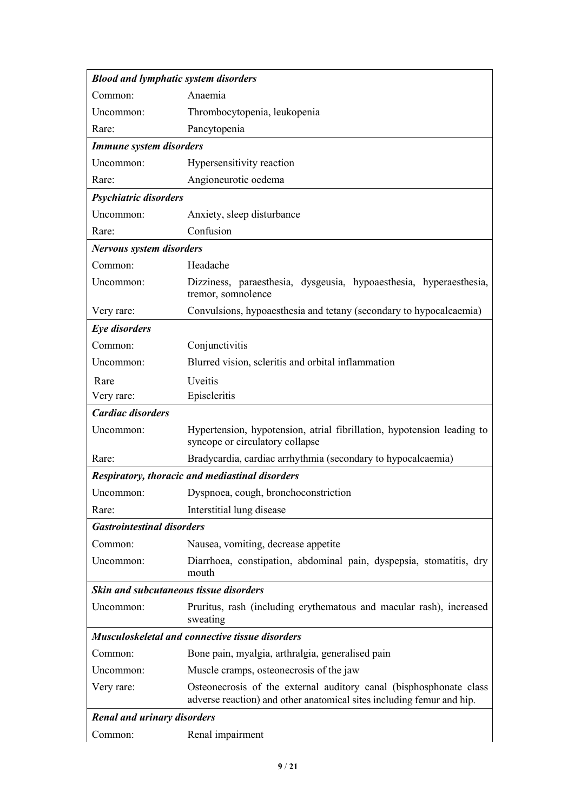|                                        | <b>Blood and lymphatic system disorders</b>                                                                                                 |
|----------------------------------------|---------------------------------------------------------------------------------------------------------------------------------------------|
| Common:                                | Anaemia                                                                                                                                     |
| Uncommon:                              | Thrombocytopenia, leukopenia                                                                                                                |
| Rare:                                  | Pancytopenia                                                                                                                                |
| <b>Immune system disorders</b>         |                                                                                                                                             |
| Uncommon:                              | Hypersensitivity reaction                                                                                                                   |
| Rare:                                  | Angioneurotic oedema                                                                                                                        |
| Psychiatric disorders                  |                                                                                                                                             |
| Uncommon:                              | Anxiety, sleep disturbance                                                                                                                  |
| Rare:                                  | Confusion                                                                                                                                   |
| <b>Nervous system disorders</b>        |                                                                                                                                             |
| Common:                                | Headache                                                                                                                                    |
| Uncommon:                              | Dizziness, paraesthesia, dysgeusia, hypoaesthesia, hyperaesthesia,<br>tremor, somnolence                                                    |
| Very rare:                             | Convulsions, hypoaesthesia and tetany (secondary to hypocalcaemia)                                                                          |
| Eye disorders                          |                                                                                                                                             |
| Common:                                | Conjunctivitis                                                                                                                              |
| Uncommon:                              | Blurred vision, scleritis and orbital inflammation                                                                                          |
| Rare                                   | Uveitis                                                                                                                                     |
| Very rare:                             | Episcleritis                                                                                                                                |
| <b>Cardiac disorders</b>               |                                                                                                                                             |
| Uncommon:                              | Hypertension, hypotension, atrial fibrillation, hypotension leading to                                                                      |
|                                        | syncope or circulatory collapse                                                                                                             |
| Rare:                                  | Bradycardia, cardiac arrhythmia (secondary to hypocalcaemia)                                                                                |
|                                        | <b>Respiratory, thoracic and mediastinal disorders</b>                                                                                      |
| Uncommon:                              | Dyspnoea, cough, bronchoconstriction                                                                                                        |
| Rare:                                  | Interstitial lung disease                                                                                                                   |
| <b>Gastrointestinal disorders</b>      |                                                                                                                                             |
| Common:                                | Nausea, vomiting, decrease appetite                                                                                                         |
| Uncommon:                              | Diarrhoea, constipation, abdominal pain, dyspepsia, stomatitis, dry<br>mouth                                                                |
| Skin and subcutaneous tissue disorders |                                                                                                                                             |
| Uncommon:                              | Pruritus, rash (including erythematous and macular rash), increased<br>sweating                                                             |
|                                        | <b>Musculoskeletal and connective tissue disorders</b>                                                                                      |
| Common:                                | Bone pain, myalgia, arthralgia, generalised pain                                                                                            |
| Uncommon:                              | Muscle cramps, osteonecrosis of the jaw                                                                                                     |
| Very rare:                             | Osteonecrosis of the external auditory canal (bisphosphonate class<br>adverse reaction) and other anatomical sites including femur and hip. |
| <b>Renal and urinary disorders</b>     |                                                                                                                                             |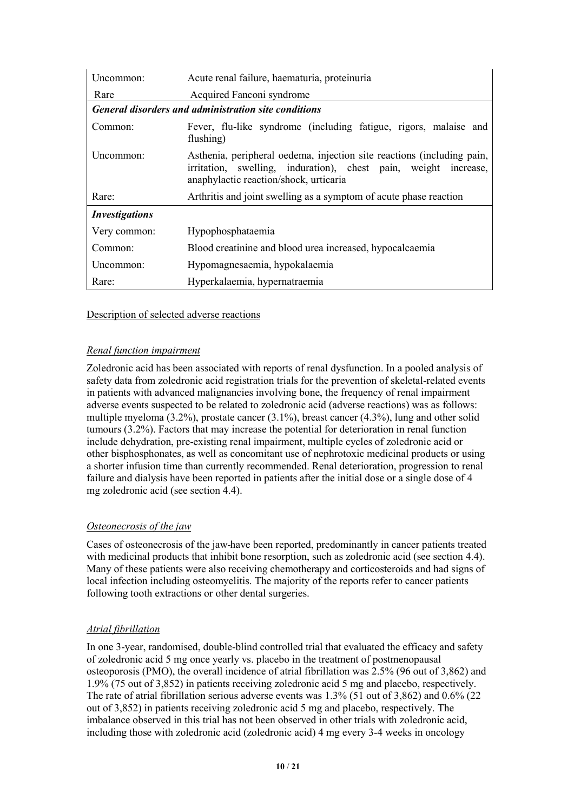| Uncommon:             | Acute renal failure, haematuria, proteinuria                                                                                                                                        |  |  |  |  |  |
|-----------------------|-------------------------------------------------------------------------------------------------------------------------------------------------------------------------------------|--|--|--|--|--|
| Rare                  | Acquired Fanconi syndrome                                                                                                                                                           |  |  |  |  |  |
|                       | <b>General disorders and administration site conditions</b>                                                                                                                         |  |  |  |  |  |
| Common:               | Fever, flu-like syndrome (including fatigue, rigors, malaise and<br>flushing)                                                                                                       |  |  |  |  |  |
| Uncommon:             | Asthenia, peripheral oedema, injection site reactions (including pain,<br>irritation, swelling, induration), chest pain, weight increase,<br>anaphylactic reaction/shock, urticaria |  |  |  |  |  |
| Rare:                 | Arthritis and joint swelling as a symptom of acute phase reaction                                                                                                                   |  |  |  |  |  |
| <b>Investigations</b> |                                                                                                                                                                                     |  |  |  |  |  |
| Very common:          | Hypophosphataemia                                                                                                                                                                   |  |  |  |  |  |
| Common:               | Blood creatinine and blood urea increased, hypocalcaemia                                                                                                                            |  |  |  |  |  |
| Uncommon:             | Hypomagnesaemia, hypokalaemia                                                                                                                                                       |  |  |  |  |  |
| Rare:                 | Hyperkalaemia, hypernatraemia                                                                                                                                                       |  |  |  |  |  |

Description of selected adverse reactions

### *Renal function impairment*

Zoledronic acid has been associated with reports ofrenal dysfunction. In a pooled analysis of safety data from zoledronic acid registration trials for the prevention of skeletal-related events in patients with advanced malignancies involving bone, the frequency of renal impairment adverse events suspected to be related to zoledronic acid (adverse reactions) was as follows: multiple myeloma (3.2%), prostate cancer (3.1%), breast cancer (4.3%), lung and other solid tumours (3.2%). Factors that may increase the potential for deterioration in renal function include dehydration, pre-existing renal impairment, multiple cycles of zoledronic acid or other bisphosphonates, as well as concomitant use of nephrotoxic medicinal products or using a shorter infusion time than currently recommended. Renal deterioration, progression to renal failure and dialysis have been reported in patients after the initial dose or a single dose of 4 mg zoledronic acid (see section 4.4).

### *Osteonecrosis of the jaw*

Cases of osteonecrosis of the jaw-have been reported, predominantly in cancer patients treated with medicinal products that inhibit bone resorption, such as zoledronic acid (see section 4.4). Many of these patients were also receiving chemotherapy and corticosteroids and had signs of local infection including osteomyelitis. The majority of the reports refer to cancer patients following tooth extractions or other dental surgeries.

### *Atrial fibrillation*

In one 3-year, randomised, double-blind controlled trial that evaluated the efficacy and safety of zoledronic acid 5 mg once yearly vs. placebo in the treatment of postmenopausal osteoporosis (PMO), the overall incidence of atrial fibrillation was 2.5% (96 out of 3,862) and 1.9% (75 out of 3,852) in patients receiving zoledronic acid 5 mg and placebo, respectively. The rate of atrial fibrillation serious adverse events was 1.3% (51 out of 3,862) and 0.6% (22 out of 3,852) in patients receiving zoledronic acid 5 mg and placebo, respectively. The imbalance observed in this trial has not been observed in other trials with zoledronic acid, including those with zoledronic acid (zoledronic acid) 4 mg every 3-4 weeks in oncology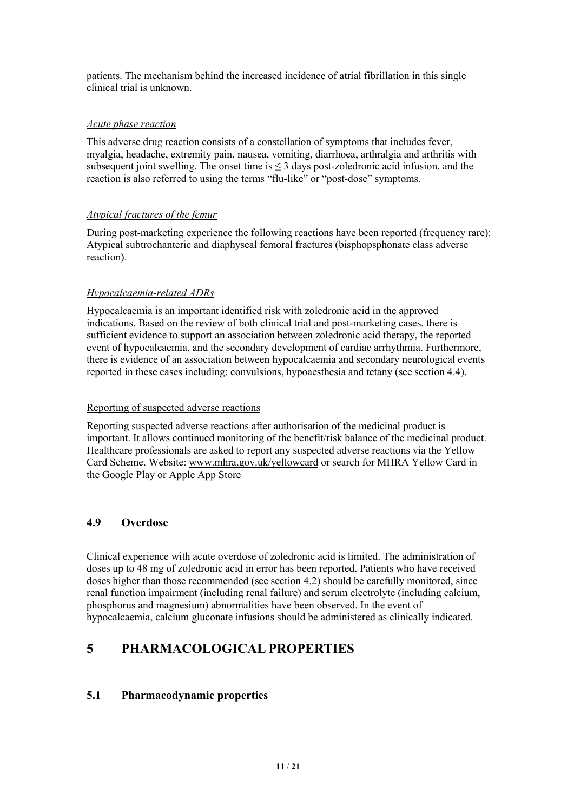patients. The mechanism behind the increased incidence of atrial fibrillation in this single clinical trial is unknown.

#### *Acute phase reaction*

This adverse drug reaction consists of a constellation of symptoms that includes fever, myalgia, headache, extremity pain, nausea, vomiting, diarrhoea, arthralgia and arthritis with subsequent joint swelling. The onset time is  $\leq$  3 days post-zoledronic acid infusion, and the reaction is also referred to using the terms "flu-like" or "post-dose" symptoms.

### *Atypical fractures of the femur*

During post-marketing experience the following reactions have been reported (frequency rare): Atypical subtrochanteric and diaphyseal femoral fractures (bisphopsphonate class adverse reaction).

### *Hypocalcaemia-related ADRs*

Hypocalcaemia is an important identified risk with zoledronic acid in the approved indications. Based on the review of both clinical trial and post-marketing cases, there is sufficient evidence to support an association between zoledronic acid therapy, the reported event of hypocalcaemia, and the secondary development of cardiac arrhythmia. Furthermore, there is evidence of an association between hypocalcaemia and secondary neurological events reported in these cases including: convulsions, hypoaesthesia and tetany (see section 4.4).

#### Reporting of suspected adverse reactions

Reporting suspected adverse reactions after authorisation of the medicinal product is important. It allows continued monitoring of the benefit/risk balance of the medicinal product. Healthcare professionals are asked to report any suspected adverse reactions via the Yellow Card Scheme. Website: www.mhra.gov.uk/yellowcard or search for MHRA Yellow Card in the Google Play or Apple App Store

### **4.9 Overdose**

Clinical experience with acute overdose of zoledronic acid is limited. The administration of doses up to 48 mg of zoledronic acid in errorhas been reported. Patients who have received doses higher than those recommended (see section 4.2) should be carefully monitored, since renal function impairment (including renal failure) and serum electrolyte (including calcium, phosphorus and magnesium) abnormalities have been observed. In the event of hypocalcaemia, calcium gluconate infusions should be administered as clinically indicated.

# **5 PHARMACOLOGICAL PROPERTIES**

### **5.1 Pharmacodynamic properties**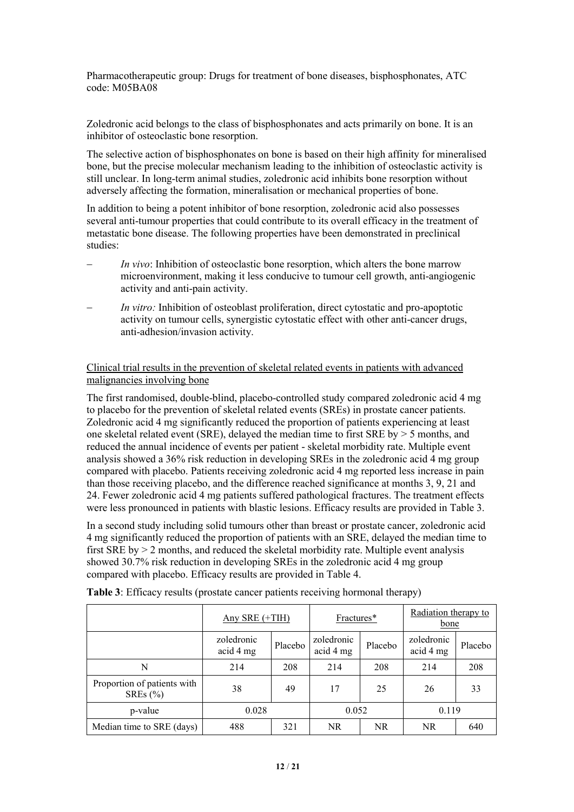Pharmacotherapeutic group: Drugs for treatment of bone diseases, bisphosphonates, ATC code: M05BA08

Zoledronic acid belongs to the class of bisphosphonates and acts primarily on bone. It is an inhibitor of osteoclastic bone resorption.

The selective action of bisphosphonates on bone is based on their high affinity for mineralised bone, but the precise molecular mechanism leading to the inhibition of osteoclastic activity is still unclear. In long-term animal studies, zoledronic acid inhibits bone resorption without adversely affecting the formation, mineralisation or mechanical properties of bone.

In addition to being a potent inhibitor of bone resorption, zoledronic acid also possesses several anti-tumour properties that could contribute to its overallefficacy in the treatment of metastatic bone disease. The following properties have been demonstrated in preclinical studies:

- *In vivo*: Inhibition of osteoclastic bone resorption, which alters the bone marrow microenvironment, making it less conducive to tumourcell growth, anti-angiogenic activity and anti-pain activity.
- *In vitro:* Inhibition of osteoblast proliferation, direct cytostatic and pro-apoptotic activity on tumour cells, synergistic cytostatic effect with other anti-cancer drugs, anti-adhesion/invasion activity.

#### Clinical trial results in the prevention of skeletal related events in patients with advanced malignancies involving bone

The first randomised, double-blind, placebo-controlled study compared zoledronic acid 4 mg to placebo for the prevention of skeletal related events (SREs) in prostate cancer patients. Zoledronic acid 4 mg significantly reduced the proportion of patients experiencing at least one skeletal related event (SRE), delayed the median time to first SRE by > 5 months, and reduced the annual incidence of events per patient - skeletal morbidity rate. Multiple event analysis showed a 36% risk reduction in developing SREs in the zoledronic acid 4 mg group compared with placebo. Patients receiving zoledronic acid 4 mg reported less increase in pain than those receiving placebo, and the difference reached significance at months 3, 9, 21 and 24. Fewer zoledronic acid 4 mg patients suffered pathological fractures. The treatment effects were less pronounced in patients with blastic lesions. Efficacy results are provided in Table 3.

In a second study including solid tumours other than breast or prostate cancer, zoledronic acid 4 mg significantly reduced the proportion of patients with an SRE, delayed the median time to first SRE by > 2 months, and reduced the skeletal morbidity rate. Multiple event analysis showed 30.7% risk reduction in developing SREs in the zoledronic acid 4 mg group compared with placebo. Efficacy results are provided in Table 4.

|                                             | Any SRE $(+TH)$         |         | Fractures*              |         | Radiation therapy to<br>bone |         |  |
|---------------------------------------------|-------------------------|---------|-------------------------|---------|------------------------------|---------|--|
|                                             | zoledronic<br>acid 4 mg | Placebo | zoledronic<br>acid 4 mg | Placebo | zoledronic<br>acid 4 mg      | Placebo |  |
| N                                           | 214                     | 208     | 214                     | 208     | 214                          | 208     |  |
| Proportion of patients with<br>SREs $(\% )$ | 38                      | 49      | 17                      | 25      | 26                           | 33      |  |
| p-value                                     | 0.028                   |         | 0.052                   |         | 0.119                        |         |  |
| Median time to SRE (days)                   | 488                     | 321     | NR.                     | NR.     | NR.                          | 640     |  |

**Table 3**: Efficacy results (prostate cancer patients receiving hormonal therapy)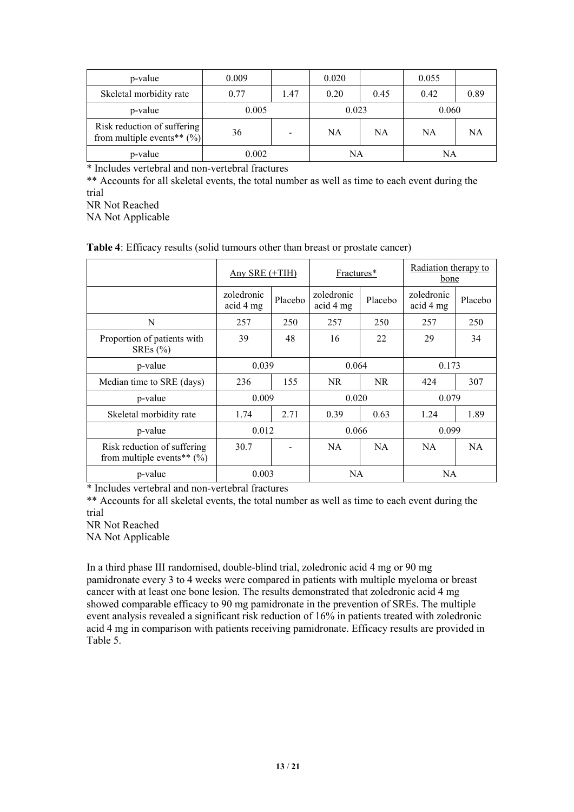| p-value                                                       | 0.009 |      | 0.020 |      | 0.055 |      |
|---------------------------------------------------------------|-------|------|-------|------|-------|------|
| Skeletal morbidity rate                                       | 0.77  | 1.47 | 0.20  | 0.45 | 0.42  | 0.89 |
| p-value                                                       | 0.005 |      | 0.023 |      | 0.060 |      |
| Risk reduction of suffering<br>from multiple events** $(\%)]$ | 36    |      | NA    | NA   | NA    | NA   |
| p-value                                                       | 0.002 |      | NA    |      | NA    |      |

\* Includes vertebral and non-vertebral fractures

\*\* Accounts for all skeletal events, the total number as well as time to each event during the trial

NR Not Reached

NA Not Applicable

|  |  | <b>Table 4:</b> Efficacy results (solid tumours other than breast or prostate cancer) |  |
|--|--|---------------------------------------------------------------------------------------|--|
|--|--|---------------------------------------------------------------------------------------|--|

|                                                              | Any SRE $(+TH)$         |         | Fractures*              |           | Radiation therapy to<br>bone |         |  |
|--------------------------------------------------------------|-------------------------|---------|-------------------------|-----------|------------------------------|---------|--|
|                                                              | zoledronic<br>acid 4 mg | Placebo | zoledronic<br>acid 4 mg | Placebo   | zoledronic<br>acid 4 mg      | Placebo |  |
| N                                                            | 257                     | 250     | 257                     | 250       | 257                          | 250     |  |
| Proportion of patients with<br>SREs $(\% )$                  | 39                      | 48      | 16                      | 22        | 29                           | 34      |  |
| p-value                                                      | 0.039                   |         | 0.064                   |           | 0.173                        |         |  |
| Median time to SRE (days)                                    | 236                     | 155     | <b>NR</b>               | <b>NR</b> | 424                          | 307     |  |
| p-value                                                      | 0.009                   |         | 0.020                   |           |                              | 0.079   |  |
| Skeletal morbidity rate                                      | 1.74                    | 2.71    | 0.39                    | 0.63      | 1.24                         | 1.89    |  |
| p-value                                                      | 0.012                   |         | 0.066                   |           | 0.099                        |         |  |
| Risk reduction of suffering<br>from multiple events** $(\%)$ | 30.7                    |         | <b>NA</b>               | <b>NA</b> | <b>NA</b>                    | NA.     |  |
| p-value                                                      | 0.003                   |         | NA.                     |           | NA.                          |         |  |

\* Includes vertebral and non-vertebral fractures

\*\* Accounts for all skeletal events, the total number as well as time to each event during the trial

NR Not Reached

NA Not Applicable

In a third phase III randomised, double-blind trial, zoledronic acid 4 mg or 90 mg pamidronate every 3 to 4 weeks were compared in patients with multiple myeloma or breast cancer with at least one bone lesion. The results demonstrated that zoledronic acid 4 mg showed comparable efficacy to 90 mg pamidronate in the prevention of SREs. The multiple event analysis revealed a significant risk reduction of 16% in patients treated with zoledronic acid 4 mg in comparison with patients receiving pamidronate. Efficacy results are provided in Table 5.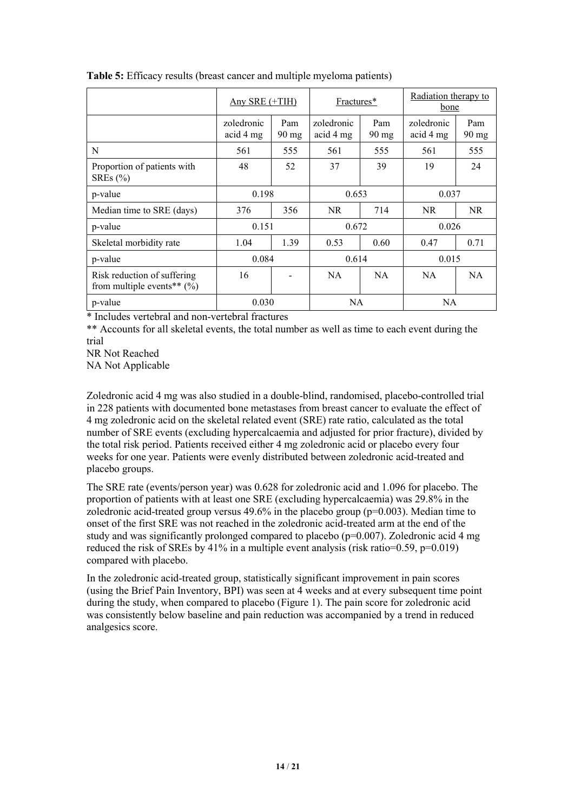|                                                              | Any SRE $(+TH)$         |                          | Fractures*              |                        | Radiation therapy to<br>bone |                        |  |
|--------------------------------------------------------------|-------------------------|--------------------------|-------------------------|------------------------|------------------------------|------------------------|--|
|                                                              |                         |                          |                         |                        |                              |                        |  |
|                                                              | zoledronic<br>acid 4 mg | Pam<br>$90 \text{ mg}$   | zoledronic<br>acid 4 mg | Pam<br>$90 \text{ mg}$ | zoledronic<br>acid 4 mg      | Pam<br>$90 \text{ mg}$ |  |
| N                                                            | 561                     | 555                      | 561                     | 555                    | 561                          | 555                    |  |
| Proportion of patients with<br>SREs $(\% )$                  | 48                      | 52                       | 37                      | 39                     | 19                           | 24                     |  |
| p-value                                                      | 0.198                   |                          | 0.653                   |                        | 0.037                        |                        |  |
| Median time to SRE (days)                                    | 376                     | 356                      | NR                      | 714                    | NR                           | NR                     |  |
| p-value                                                      | 0.151                   |                          | 0.672                   |                        |                              | 0.026                  |  |
| Skeletal morbidity rate                                      | 1.04                    | 1.39                     | 0.53                    | 0.60                   | 0.47                         | 0.71                   |  |
| p-value                                                      | 0.084                   |                          | 0.614                   |                        | 0.015                        |                        |  |
| Risk reduction of suffering<br>from multiple events** $(\%)$ | 16                      | $\overline{\phantom{a}}$ | NA                      | NA                     | NA.                          | <b>NA</b>              |  |
| p-value                                                      | 0.030                   |                          |                         | NA                     |                              | <b>NA</b>              |  |

**Table 5:** Efficacy results (breast cancer and multiple myeloma patients)

\* Includes vertebral and non-vertebral fractures

\*\* Accounts for all skeletal events, the total number as well as time to each event during the trial

NR Not Reached

NA Not Applicable

Zoledronic acid 4 mg was also studied in a double-blind, randomised, placebo-controlled trial in 228 patients with documented bone metastases from breast cancer to evaluate the effect of 4 mg zoledronic acid on the skeletal related event (SRE) rate ratio, calculated as the total number of SRE events (excluding hypercalcaemia and adjusted for prior fracture), divided by the total risk period. Patients received either 4 mg zoledronic acid or placebo every four weeks for one year. Patients were evenly distributed between zoledronic acid-treated and placebo groups.

The SRE rate (events/person year) was 0.628 for zoledronic acid and 1.096 for placebo. The proportion of patients with at least one SRE (excluding hypercalcaemia) was 29.8% in the zoledronic acid-treated group versus  $49.6\%$  in the placebo group ( $p=0.003$ ). Median time to onset of the first SRE was not reached in the zoledronic acid-treated arm at the end of the study and was significantly prolonged compared to placebo (p=0.007). Zoledronic acid 4 mg reduced the risk of SREs by  $41\%$  in a multiple event analysis (risk ratio=0.59, p=0.019) compared with placebo.

In the zoledronic acid-treated group, statistically significant improvement in pain scores (using the Brief Pain Inventory, BPI) was seen at 4 weeks and at every subsequent time point during the study, when compared to placebo (Figure 1). The pain score for zoledronic acid was consistently below baseline and pain reduction was accompanied by a trend in reduced analgesics score.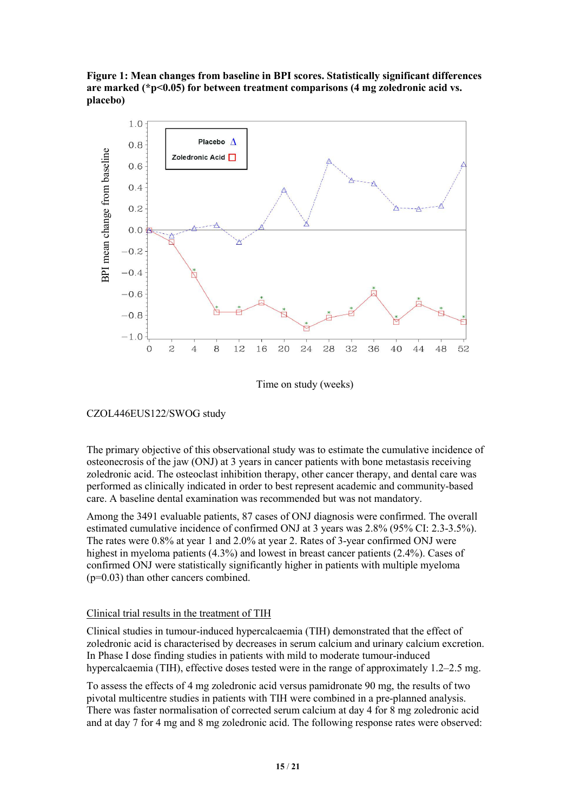# **are marked (\*p<0.05) for between treatment comparisons (4 mg zoledronic acid vs. placebo)**



Time on study (weeks)

### CZOL446EUS122/SWOG study

The primary objective of this observational study was to estimate the cumulative incidence of osteonecrosis of the jaw (ONJ) at 3 years in cancer patients with bone metastasis receiving zoledronic acid. The osteoclast inhibition therapy, other cancer therapy, and dental care was performed as clinically indicated in order to best represent academic and community-based care. A baseline dental examination was recommended but was not mandatory.

Among the 3491 evaluable patients, 87 cases of ONJ diagnosis were confirmed. The overall estimated cumulative incidence of confirmed ONJ at 3 years was 2.8% (95% CI: 2.3-3.5%). The rates were 0.8% at year 1 and 2.0% at year 2. Rates of 3-year confirmed ONJwere highest in myeloma patients (4.3%) and lowest in breast cancer patients (2.4%). Cases of confirmed ONJwere statistically significantly higher in patients with multiple myeloma (p=0.03) than other cancers combined.

### Clinical trial results in the treatment of TIH

Clinical studies in tumour-induced hypercalcaemia (TIH) demonstrated that the effect of zoledronic acid is characterised by decreases in serum calcium and urinary calcium excretion. In Phase I dose finding studies in patients with mild to moderate tumour-induced hypercalcaemia (TIH), effective doses tested were in the range of approximately 1.2–2.5 mg.

To assess the effects of4 mg zoledronic acid versus pamidronate 90 mg, the results of two pivotal multicentre studies in patients with TIH were combined in a pre-planned analysis. There was faster normalisation of corrected serum calcium at day 4 for 8 mg zoledronic acid and at day 7 for 4 mg and 8 mg zoledronic acid. The following response rates were observed: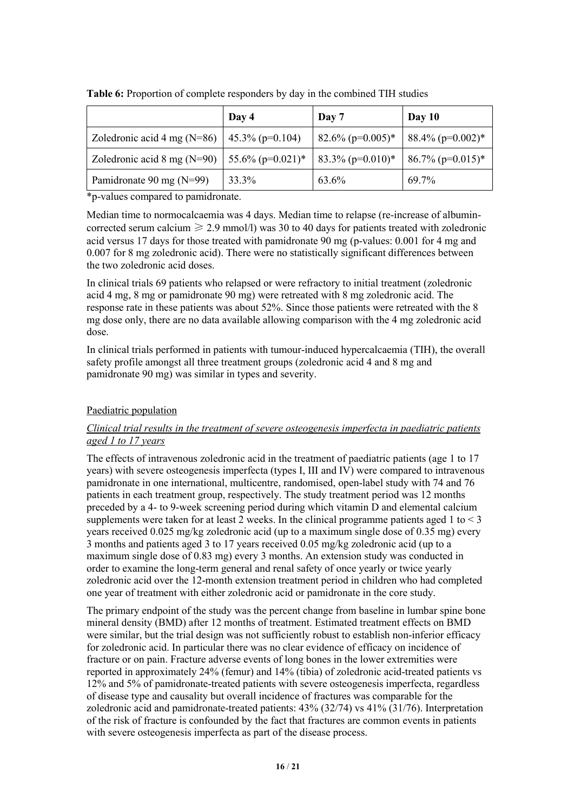|                                       | Day 4                | Day 7               | Day $10$                        |
|---------------------------------------|----------------------|---------------------|---------------------------------|
| Zoledronic acid 4 mg $(N=86)$         | $45.3\%$ (p=0.104)   | $82.6\%$ (p=0.005)* | $88.4\%$ (p=0.002)*             |
| Zoledronic acid $8 \text{ mg}$ (N=90) | 55.6% ( $p=0.021$ )* | $83.3\%$ (p=0.010)* | $86.7\%$ (p=0.015) <sup>*</sup> |
| Pamidronate 90 mg $(N=99)$            | 33.3%                | 63.6%               | 69.7%                           |

**Table 6:** Proportion of complete responders by day in the combined TIH studies

\*p-values compared to pamidronate.

Median time to normocalcaemia was 4 days. Median time to relapse (re-increase of albumin corrected serum calcium  $\geq 2.9$  mmol/l) was 30 to 40 days for patients treated with zoledronic acid versus 17 days for those treated with pamidronate 90 mg (p-values:0.001 for 4 mg and 0.007 for 8 mg zoledronic acid). There were no statistically significant differences between the two zoledronic acid doses.

In clinical trials 69 patients who relapsed or were refractory to initial treatment (zoledronic acid 4 mg, 8 mg or pamidronate 90 mg) were retreated with 8 mg zoledronic acid. The response rate in these patients was about 52%. Since those patients were retreated with the 8 mg dose only, there are no data available allowing comparison with the 4 mg zoledronic acid dose.

In clinical trials performed in patients with tumour-induced hypercalcaemia (TIH), the overall safety profile amongst all three treatment groups (zoledronic acid 4 and 8 mg and pamidronate 90 mg) was similar in types and severity.

### Paediatric population

### *Clinical trial results in the treatment of severe osteogenesis imperfecta in paediatric patients aged 1 to 17 years*

The effects of intravenous zoledronic acid in the treatment of paediatric patients (age 1 to 17 years) with severe osteogenesis imperfecta (types I, III and IV) were compared to intravenous pamidronate in one international, multicentre, randomised, open-label study with 74 and 76 patients in each treatment group, respectively. The study treatment period was 12 months preceded by a 4- to 9-week screening period during which vitamin D and elemental calcium supplements were taken for at least 2 weeks. In the clinical programme patients aged 1 to  $\leq$  3 years received 0.025 mg/kg zoledronic acid (up to a maximum single dose of 0.35 mg) every 3 months and patients aged 3 to 17 years received 0.05 mg/kg zoledronic acid (up to a maximum single dose of 0.83 mg) every 3 months. An extension study was conducted in order to examine the long-term general and renal safety of once yearly or twice yearly zoledronic acid over the 12-month extension treatment period in children who had completed one year of treatment with either zoledronic acid or pamidronate in the core study.

The primary endpoint of the study was the percent change from baseline in lumbar spine bone mineral density (BMD) after 12 months of treatment. Estimated treatment effects on BMD were similar, but the trial design was not sufficiently robust to establish non-inferior efficacy for zoledronic acid. In particular there was no clear evidence of efficacy on incidence of fracture or on pain. Fracture adverse events of long bones in the lower extremities were reported in approximately 24% (femur) and 14% (tibia) of zoledronic acid-treated patients vs 12% and 5% of pamidronate-treated patients with severe osteogenesis imperfecta, regardless of disease type and causality but overall incidence of fractures was comparable for the zoledronic acid and pamidronate-treated patients: 43% (32/74) vs 41% (31/76). Interpretation of the risk of fracture is confounded by the fact that fractures are common events in patients with severe osteogenesis imperfecta as part of the disease process.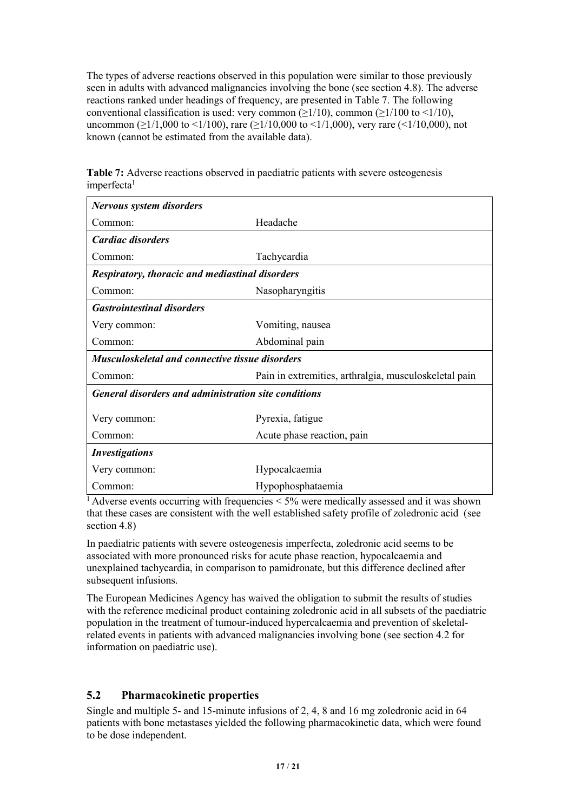The types of adverse reactions observed in this population were similar to those previously seen in adults with advanced malignancies involving the bone (see section 4.8). The adverse reactions ranked under headings of frequency, are presented in Table 7. The following conventional classification is used: very common  $(>1/10)$ , common  $(>1/100$  to  $<1/10$ ), uncommon ( $\geq$ 1/1,000 to <1/100), rare ( $\geq$ 1/10,000 to <1/1,000), very rare (<1/10,000), not known (cannot be estimated from the available data).

| <b>Nervous system disorders</b>                             |                                                       |  |  |  |  |
|-------------------------------------------------------------|-------------------------------------------------------|--|--|--|--|
| Common:                                                     | Headache                                              |  |  |  |  |
| Cardiac disorders                                           |                                                       |  |  |  |  |
| Common:                                                     | Tachycardia                                           |  |  |  |  |
| <b>Respiratory, thoracic and mediastinal disorders</b>      |                                                       |  |  |  |  |
| Common:                                                     | Nasopharyngitis                                       |  |  |  |  |
| <b>Gastrointestinal disorders</b>                           |                                                       |  |  |  |  |
| Very common:                                                | Vomiting, nausea                                      |  |  |  |  |
| Common:                                                     | Abdominal pain                                        |  |  |  |  |
| <b>Musculoskeletal and connective tissue disorders</b>      |                                                       |  |  |  |  |
| Common:                                                     | Pain in extremities, arthralgia, musculoskeletal pain |  |  |  |  |
| <b>General disorders and administration site conditions</b> |                                                       |  |  |  |  |
| Very common:                                                | Pyrexia, fatigue                                      |  |  |  |  |
| Common:                                                     | Acute phase reaction, pain                            |  |  |  |  |
| <b>Investigations</b>                                       |                                                       |  |  |  |  |
| Very common:                                                | Hypocalcaemia                                         |  |  |  |  |
| Common:                                                     | Hypophosphataemia                                     |  |  |  |  |

**Table 7:** Adverse reactions observed in paediatric patients with severe osteogenesis imperfecta 1

 $\frac{1}{1}$  Adverse events occurring with frequencies < 5% were medically assessed and it was shown that these cases are consistent with the well established safety profile of zoledronic acid (see section 4.8)

In paediatric patients with severe osteogenesis imperfecta, zoledronic acid seems to be associated with more pronounced risks for acute phase reaction, hypocalcaemia and unexplained tachycardia, in comparison to pamidronate, but this difference declined after subsequent infusions.

The European Medicines Agency has waived the obligation to submit the results of studies with the reference medicinal product containing zoledronic acid in all subsets of the paediatric population in the treatment of tumour-induced hypercalcaemia and prevention of skeletalrelated events in patients with advanced malignancies involving bone (see section 4.2 for information on paediatric use).

# **5.2 Pharmacokinetic properties**

Single and multiple 5- and 15-minute infusions of 2, 4, 8 and 16 mg zoledronic acid in 64 patients with bone metastases yielded the following pharmacokinetic data, which were found to be dose independent.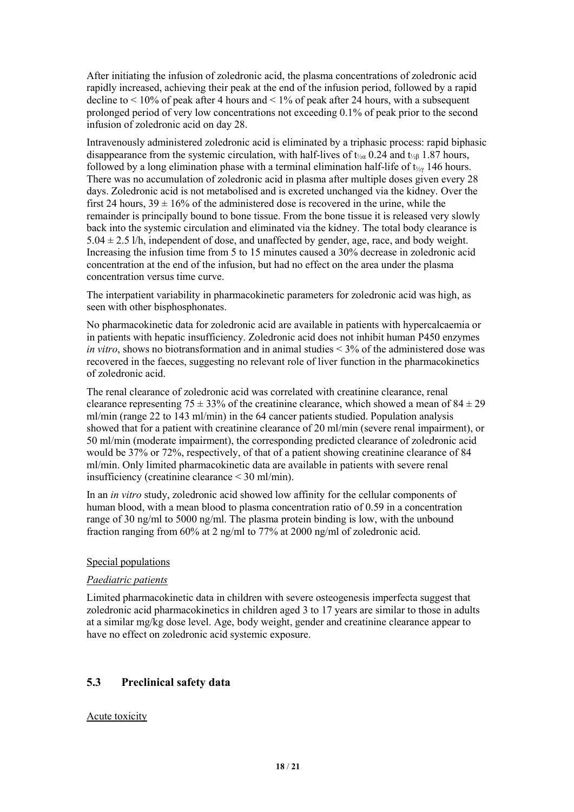After initiating the infusion of zoledronic acid, the plasma concentrations of zoledronic acid rapidly increased, achieving their peak at the end of the infusion period, followed by a rapid decline to  $\leq 10\%$  of peak after 4 hours and  $\leq 1\%$  of peak after 24 hours, with a subsequent prolonged period of very low concentrations not exceeding 0.1% of peak prior to the second infusion of zoledronic acid on day 28.

Intravenously administered zoledronic acid is eliminated by a triphasic process: rapid biphasic disappearance from the systemic circulation, with half-lives of  $t_{\text{20}}$  0.24 and  $t_{\text{20}}$  1.87 hours, followed by a long elimination phase with a terminal elimination half-life of  $t_{\gamma\gamma}$  146 hours. There was no accumulation of zoledronic acid in plasma after multiple doses given every 28 days. Zoledronic acid is not metabolised and is excreted unchanged via the kidney. Over the first 24 hours,  $39 \pm 16\%$  of the administered dose is recovered in the urine, while the remainder is principally bound to bone tissue. From the bone tissue it is released very slowly back into the systemic circulation and eliminated via the kidney. The total body clearance is  $5.04 \pm 2.5$  l/h, independent of dose, and unaffected by gender, age, race, and body weight. Increasing the infusion time from 5 to 15 minutes caused a 30% decrease in zoledronic acid concentration at the end of the infusion, but had no effect on the area under the plasma concentration versus time curve.

The interpatient variability in pharmacokinetic parameters for zoledronic acid was high, as seen with other bisphosphonates.

No pharmacokinetic data for zoledronic acid are available in patients with hypercalcaemia or in patients with hepatic insufficiency. Zoledronic acid doesnot inhibit human P450 enzymes *in vitro*, shows no biotransformation and in animal studies < 3% of the administered dose was recovered in the faeces, suggesting no relevant role of liver function in the pharmacokinetics of zoledronic acid.

The renal clearance of zoledronic acid was correlated with creatinine clearance, renal clearance representing 75  $\pm$  33% of the creatinine clearance, which showed a mean of 84  $\pm$  29 ml/min (range 22 to 143 ml/min) in the 64 cancer patients studied. Population analysis showed that for a patient with creatinine clearance of 20 ml/min (severe renal impairment), or 50 ml/min (moderate impairment), the corresponding predicted clearance of zoledronic acid would be 37% or 72%, respectively, of that of a patient showing creatinine clearance of 84 ml/min. Only limited pharmacokinetic data are available in patients with severe renal insufficiency (creatinine clearance < 30ml/min).

In an *in vitro* study, zoledronic acid showed low affinity for the cellular components of human blood, with a mean blood to plasma concentration ratio of 0.59 in a concentration range of 30 ng/ml to 5000 ng/ml. The plasma protein binding is low, with the unbound fraction ranging from 60% at 2 ng/ml to 77% at 2000 ng/ml of zoledronic acid.

#### Special populations

#### *Paediatric patients*

Limited pharmacokinetic data in children with severe osteogenesis imperfecta suggest that zoledronic acid pharmacokinetics in children aged 3 to 17 years are similar to those in adults at a similar mg/kg dose level. Age, body weight, gender and creatinine clearance appear to have no effect on zoledronic acid systemic exposure.

## **5.3 Preclinical safety data**

#### Acute toxicity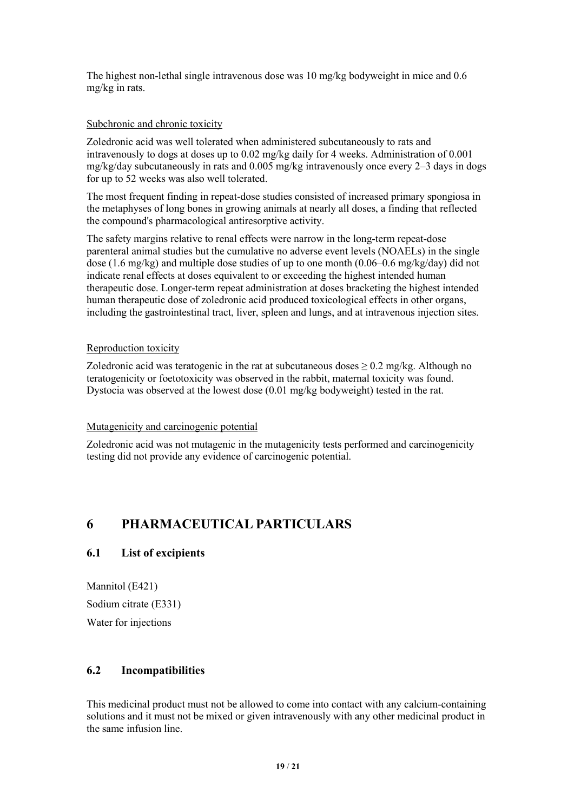The highest non-lethal single intravenous dose was  $10 \text{ mg/kg}$  bodyweight in mice and 0.6 mg/kg in rats.

#### Subchronic and chronic toxicity

Zoledronic acid was well tolerated when administered subcutaneously to rats and intravenously to dogsat doses up to 0.02 mg/kg daily for 4 weeks. Administration of 0.001  $mg/kg/day$  subcutaneously in rats and 0.005 mg/kg intravenously once every 2–3 days in dogs for up to 52 weeks was also well tolerated.

The most frequent finding in repeat-dose studies consisted of increased primary spongiosa in the metaphyses oflong bones in growing animals at nearly all doses, a finding that reflected the compound's pharmacological antiresorptive activity.

The safety margins relative to renal effects were narrow in the long-term repeat-dose parenteral animal studies but the cumulative no adverse event levels (NOAELs) in the single dose (1.6 mg/kg) and multiple dose studies of up to one month (0.06–0.6 mg/kg/day) did not indicate renal effects at doses equivalent to or exceeding the highest intended human therapeutic dose. Longer-term repeat administration at doses bracketing the highest intended human therapeutic dose of zoledronic acid produced toxicological effects in other organs, including the gastrointestinal tract, liver, spleen and lungs, and at intravenous injection sites.

#### Reproduction toxicity

Zoledronic acid was teratogenic in the rat at subcutaneous doses  $> 0.2$  mg/kg. Although no teratogenicity or foetotoxicity was observed in the rabbit, maternal toxicity was found. Dystocia was observed at the lowest dose (0.01 mg/kg bodyweight) tested in the rat.

#### Mutagenicity and carcinogenic potential

Zoledronic acid was not mutagenic in the mutagenicity tests performed and carcinogenicity testing did not provide any evidence of carcinogenic potential.

# **6 PHARMACEUTICAL PARTICULARS**

# **6.1 List of excipients**

Mannitol (E421) Sodium citrate (E331) Water for injections

## **6.2 Incompatibilities**

This medicinal product must not be allowed to come into contact with any calcium-containing solutions and it must not be mixed or given intravenously with any other medicinal product in the same infusion line.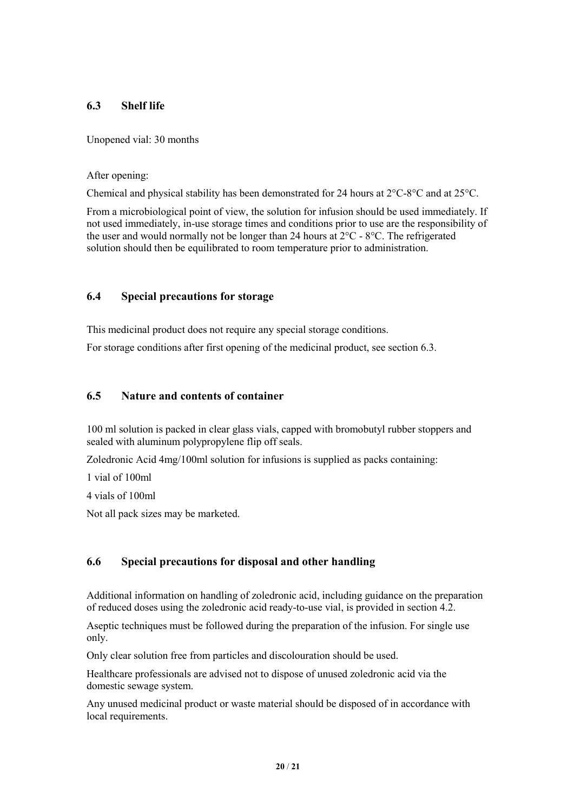## **6.3 Shelf life**

Unopened vial: 30 months

#### After opening:

Chemical and physical stability has been demonstrated for 24 hours at  $2^{\circ}C$ -8°C and at  $25^{\circ}C$ .

From a microbiological point of view, the solution for infusion should be used immediately. If not used immediately, in-use storage times and conditions prior to use are the responsibility of the user and would normally not be longer than 24 hours at 2°C - 8°C. The refrigerated solution should then be equilibrated to room temperature prior to administration.

## **6.4 Special precautions for storage**

This medicinal product does not require any special storage conditions.

For storage conditions after first opening of the medicinal product, see section 6.3.

### **6.5 Nature and contents of container**

100 ml solution is packed in clearglass vials, capped with bromobutyl rubber stoppers and sealed with aluminum polypropylene flip off seals.

Zoledronic Acid 4mg/100ml solution for infusions is supplied as packs containing:

1 vial of 100ml

4 vials of 100ml

Not all pack sizes may be marketed.

# **6.6 Special precautions for disposal and other handling**

Additional information on handling of zoledronic acid, including guidance on the preparation of reduced doses using the zoledronic acid ready-to-use vial, is provided in section 4.2.

Aseptic techniques must be followed during the preparation of the infusion. For single use only.

Only clear solution free from particles and discolouration should be used.

Healthcare professionals are advised not to dispose of unused zoledronic acid via the domestic sewage system.

Any unused medicinal product or waste material should be disposed of in accordance with local requirements.